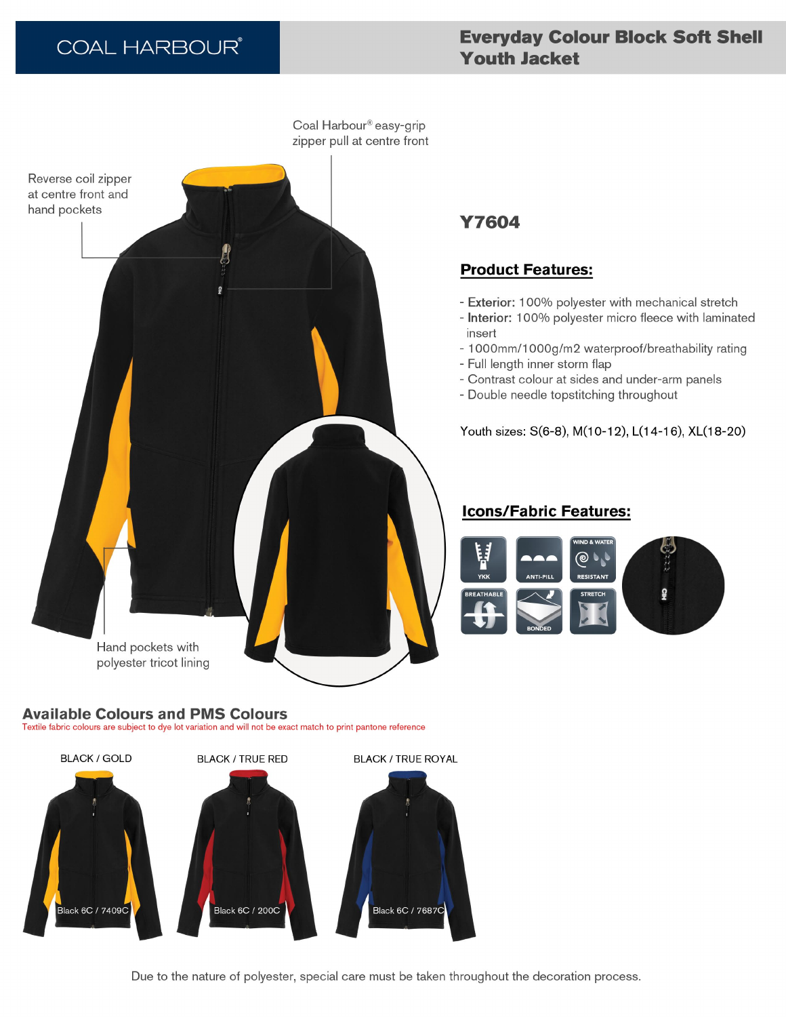# **COAL HARBOUR®**

# **Everyday Colour Block Soft Shell Youth Jacket**

Coal Harbour® easy-grip zipper pull at centre front Reverse coil zipper at centre front and hand pockets Hand pockets with polyester tricot lining

#### **Available Colours and PMS Colours** Textile fabric colours are subject to dye lot variation and will not be exact match to print pantone reference

**BLACK / GOLD BLACK / TRUE RED BLACK / TRUE ROYAL** Black 6C / 7409C Black 6C / 200C Black 6C / 7687C

**Y7604** 

# **Product Features:**

- Exterior: 100% polyester with mechanical stretch
- Interior: 100% polyester micro fleece with laminated insert
- 1000mm/1000g/m2 waterproof/breathability rating
- Full length inner storm flap
- Contrast colour at sides and under-arm panels
- Double needle topstitching throughout

Youth sizes: S(6-8), M(10-12), L(14-16), XL(18-20)

## **Icons/Fabric Features:**



Due to the nature of polyester, special care must be taken throughout the decoration process.